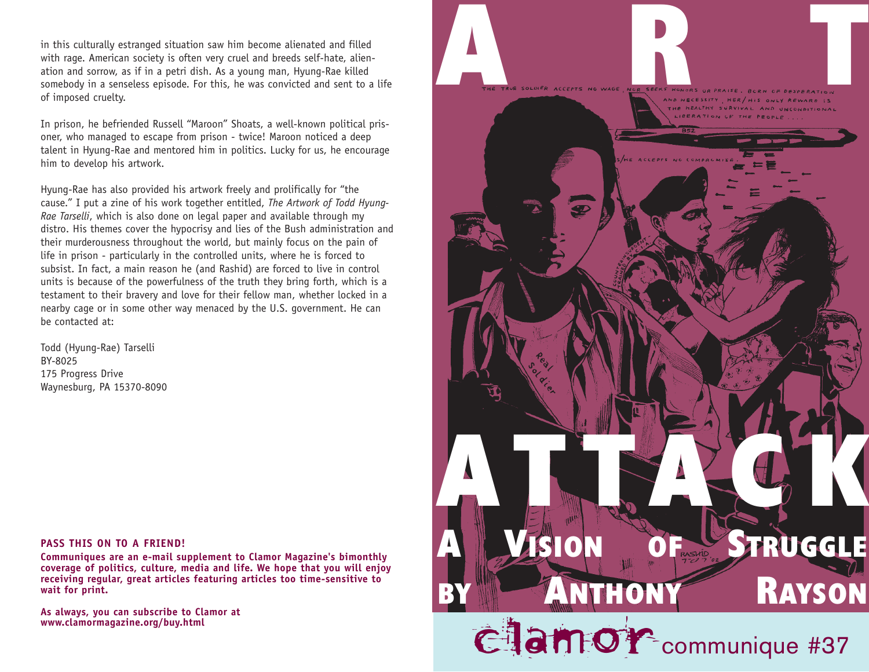in this culturally estranged situation saw him become alienated and filled with rage. American society is often very cruel and breeds self-hate, alienation and sorrow, as if in a petri dish. As a young man, Hyung-Rae killed somebody in a senseless episode. For this, he was convicted and sent to a life of imposed cruelty.

In prison, he befriended Russell "Maroon" Shoats, a well-known political prisoner, who managed to escape from prison - twice! Maroon noticed a deep talent in Hyung-Rae and mentored him in politics. Lucky for us, he encourage him to develop his artwork.

Hyung-Rae has also provided his artwork freely and prolifically for "the cause." I put a zine of his work together entitled, *The Artwork of Todd Hyung-Rae Tarselli*, which is also done on legal paper and available through my distro. His themes cover the hypocrisy and lies of the Bush administration and their murderousness throughout the world, but mainly focus on the pain of life in prison - particularly in the controlled units, where he is forced to subsist. In fact, a main reason he (and Rashid) are forced to live in control units is because of the powerfulness of the truth they bring forth, which is a testament to their bravery and love for their fellow man, whether locked in a nearby cage or in some other way menaced by the U.S. government. He can be contacted at:

Todd (Hyung-Rae) Tarselli BY-8025 175 Progress Drive Waynesburg, PA 15370-8090



**Communiques are an e-mail supplement to Clamor Magazine's bimonthly coverage of politics, culture, media and life. We hope that you will enjoy receiving regular, great articles featuring articles too time-sensitive to wait for print.** 

**As always, you can subscribe to Clamor at**